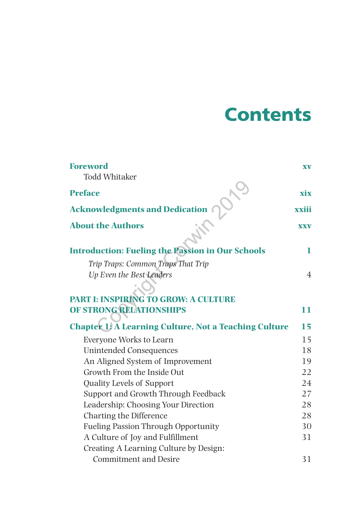## **Contents**

| <b>Foreword</b>                                              | <b>XV</b>      |
|--------------------------------------------------------------|----------------|
| <b>Todd Whitaker</b>                                         |                |
| <b>Preface</b>                                               | xix            |
| <b>Acknowledgments and Dedication</b>                        | xxiii          |
| <b>About the Authors</b>                                     | <b>XXV</b>     |
| <b>Introduction: Fueling the Passion in Our Schools</b>      | 1              |
| Trip Traps: Common Traps That Trip                           |                |
| Up Even the Best Leaders                                     | $\overline{4}$ |
|                                                              |                |
| <b>PART I: INSPIRING TO GROW: A CULTURE</b>                  |                |
| OF STRONG RELATIONSHIPS                                      | 11             |
| <b>Chapter 1: A Learning Culture, Not a Teaching Culture</b> | 15             |
| Everyone Works to Learn                                      | 15             |
| Unintended Consequences                                      | 18             |
| An Aligned System of Improvement                             | 19             |
| Growth From the Inside Out                                   | 22             |
| <b>Quality Levels of Support</b>                             | 24             |
| Support and Growth Through Feedback                          | 27             |
| Leadership: Choosing Your Direction                          | 28             |
| Charting the Difference                                      | 28             |
| <b>Fueling Passion Through Opportunity</b>                   | 30             |
| A Culture of Joy and Fulfillment                             | 31             |
| Creating A Learning Culture by Design:                       |                |
| <b>Commitment and Desire</b>                                 | 31             |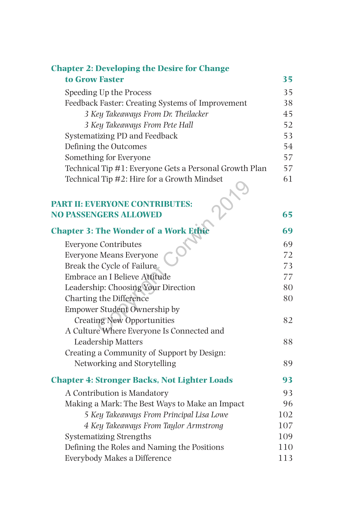| <b>Chapter 2: Developing the Desire for Change</b>     |     |
|--------------------------------------------------------|-----|
| to Grow Faster                                         | 35  |
| Speeding Up the Process                                | 35  |
| Feedback Faster: Creating Systems of Improvement       | 38  |
| 3 Key Takeaways From Dr. Theilacker                    | 45  |
| 3 Key Takeaways From Pete Hall                         | 52  |
| Systematizing PD and Feedback                          | 53  |
| Defining the Outcomes                                  | 54  |
| Something for Everyone                                 | 57  |
| Technical Tip #1: Everyone Gets a Personal Growth Plan | 57  |
| Technical Tip #2: Hire for a Growth Mindset            | 61  |
|                                                        |     |
| <b>PART II: EVERYONE CONTRIBUTES:</b>                  |     |
| <b>NO PASSENGERS ALLOWED</b>                           | 65  |
| <b>Chapter 3: The Wonder of a Work Ethic</b>           | 69  |
| <b>Everyone Contributes</b>                            | 69  |
| <b>Everyone Means Everyone</b>                         | 72  |
| Break the Cycle of Failure                             | 73  |
| Embrace an I Believe Attitude                          | 77  |
| Leadership: Choosing Your Direction                    | 80  |
| Charting the Difference                                | 80  |
| <b>Empower Student Ownership by</b>                    |     |
| <b>Creating New Opportunities</b>                      | 82  |
| A Culture Where Everyone Is Connected and              |     |
| Leadership Matters                                     | 88  |
| Creating a Community of Support by Design:             |     |
| Networking and Storytelling                            | 89  |
| <b>Chapter 4: Stronger Backs, Not Lighter Loads</b>    | 93  |
| A Contribution is Mandatory                            | 93  |
| Making a Mark: The Best Ways to Make an Impact         | 96  |
| 5 Key Takeaways From Principal Lisa Lowe               | 102 |
| 4 Key Takeaways From Taylor Armstrong                  | 107 |
| <b>Systematizing Strengths</b>                         | 109 |
| Defining the Roles and Naming the Positions            | 110 |
| Everybody Makes a Difference                           | 113 |